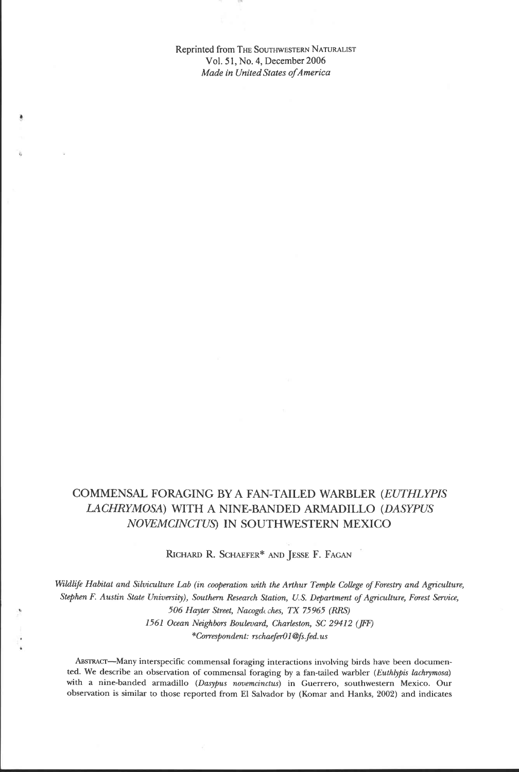**Reprinted from THE SOUTHWESTERN NATURALIST**  Vol. **5 1, No. 4, December 2006**  *Made in United States ofAmerica* 

## **COMMENSAL FORAGING BY A FAN-TAILED WARBLER** *(EUTHLYPIS LACHRYMOSA)* **WITH** *A* **NINE-BANDED ARMADILLO** *(DASYPUS NOWMCINCTUS)* **IN SOUTHWESTERN MEXICO**

RICHARD R. SCHAEFER\* AND JESSE F. FAGAN

Wildlife Habitat and Silviculture Lab (in cooperation with the Arthur Temple College of Forestry and Agriculture, *Stephen F. Austin State University), Southern Research Station, U.S. Department of Agriculture, Farest Sewice, 506 Hayter Street, Nacogdc ches, TX 75965 (RRS)*  1561 Ocean Neighbors Boulevard, Charleston, SC 29412 (JFF) *\*Correspondent: rschaefdl* **@fs.** *fed.us* 

ABSTRACT-Many interspecific commensal foraging interactions involving birds have been documented. We describe an observation of commensal foraging by a fan-tailed warbler (Euthlypis lachrymosa) with a nine-banded armadillo (Dasypus novemcinctus) in Guerrero, southwestern Mexico. Our **obsenation is similar to those reported from El Salvador by (Komar and Hanks,** *2002)* **and indicates**